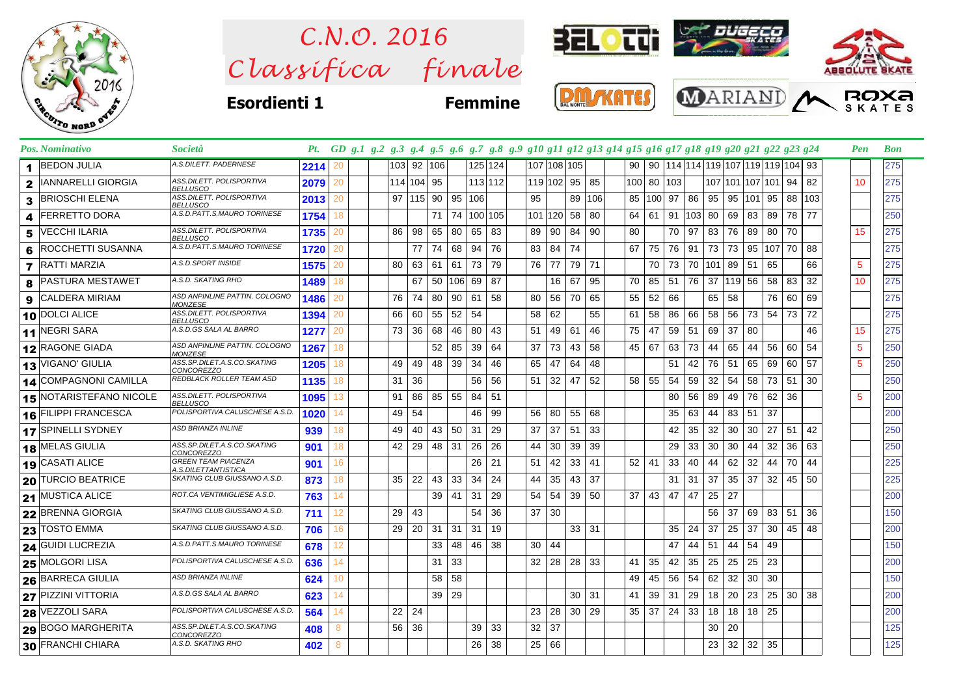

 $Clas$ s *ifica* finale *C.N.O. 2016*



**Esordienti 1 Femmine**







|              | Pos. Nominativo                | <b>Società</b>                                    |      | Pt. GD g.1 g.2 g.3 g.4 g.5 g.6 g.7 g.8 g.9 g10 g11 g12 g13 g14 g15 g16 g17 g18 g19 g20 g21 g22 g23 g24 |    |            |     |     |      |         |                 |         |             |     |     |        |     |     |     |      |                                                   |       |       |     | Pen | <b>Bon</b> |
|--------------|--------------------------------|---------------------------------------------------|------|--------------------------------------------------------------------------------------------------------|----|------------|-----|-----|------|---------|-----------------|---------|-------------|-----|-----|--------|-----|-----|-----|------|---------------------------------------------------|-------|-------|-----|-----|------------|
| 1.           | <b>BEDON JULIA</b>             | A.S.DILETT. PADERNESE                             | 2214 | 20                                                                                                     |    | 103 92 106 |     |     |      | 125 124 |                 |         | 107 108 105 |     | 90  |        |     |     |     |      | 90   114   114   119   107   119   119   104   93 |       |       |     |     | 275        |
| $\mathbf{2}$ | IANNARELLI GIORGIA             | ASS.DILETT. POLISPORTIVA<br><b>BELLUSCO</b>       | 2079 | 20                                                                                                     |    | 114 104 95 |     |     |      | 113 112 |                 | 119 102 | 95          | 85  | 100 | 80 103 |     |     |     |      | 107 101 107 101 94                                |       |       | 82  | 10  | 275        |
| 3            | <b>BRIOSCHI ELENA</b>          | ASS.DILETT. POLISPORTIVA<br><b>BELLUSCO</b>       | 2013 | 20                                                                                                     |    | 97 115 90  |     | 95  | 106  |         | 95              |         | 89          | 106 | 85  | 100    | 97  | 86  | 95  | 95   | 101                                               | 95    | 88    | 103 |     | 275        |
| 4            | FERRETTO DORA                  | A.S.D.PATT.S.MAURO TORINESE                       | 1754 | 18                                                                                                     |    |            | 71  | 74  |      | 100 105 |                 | 101 120 | 58          | 80  | 64  | 61     | 91  | 103 | 80  | 69 I | 83                                                | 89    | 78    | 77  |     | 250        |
| 5            | <b>VECCHI ILARIA</b>           | ASS.DILETT. POLISPORTIVA<br><b>BELLUSCO</b>       | 1735 | 20                                                                                                     | 86 | 98         | 65  | 80  | 65   | 83      | 89              | 90      | 84          | 90  | 80  |        | 70  | 97  | 83  | 76   | 89                                                | 80    | 70    |     | 15  | 275        |
| 6            | ROCCHETTI SUSANNA              | A.S.D.PATT.S.MAURO TORINESE                       | 1720 | 20                                                                                                     |    | 77         | 74  | 68  | 94   | 76      | 83              | 84      | 74          |     | 67  | 75     | 76  | 91  | 73  | 73   | 95   107   70                                     |       |       | 88  |     | 275        |
|              | <b>7</b> RATTI MARZIA          | A.S.D.SPORT INSIDE                                | 1575 | 20                                                                                                     | 80 | 63         | 61  | 61  | 73   | 79      | 76              | 77      | 79          | 71  |     | 70     | 73  | 70  | 101 | 89   | 51                                                | 65    |       | 66  | 5   | 275        |
| 8            | <b>PASTURA MESTAWET</b>        | A.S.D. SKATING RHO                                | 1489 | 18                                                                                                     |    | 67         | -50 | 106 | 69   | 87      |                 | 16      | 67          | 95  | 70  | 85     | -51 | 76  | 37  | 119  | 56                                                | 58    | 83    | 32  | 10  | 275        |
| 9            | <b>CALDERA MIRIAM</b>          | ASD ANPINLINE PATTIN. COLOGNO<br><b>MONZESE</b>   | 1486 | 20                                                                                                     | 76 | 74         | 80  | 90  | 61   | 58      | 80              | 56      | 70          | 65  | 55  | 52     | 66  |     | 65  | 58   |                                                   |       | 76 60 | 69  |     | 275        |
|              | 10 DOLCI ALICE                 | ASS.DILETT. POLISPORTIVA<br><b>BELLUSCO</b>       | 1394 | 20                                                                                                     | 66 | 60         | 55  | 52  | 54   |         | 58              | 62      |             | 55  | 61  | 58     | 86  | 66  | 58  | 56   | 73 54                                             |       | 73    | 72  |     | 275        |
|              | 11 NEGRI SARA                  | A.S.D.GS SALA AL BARRO                            | 1277 | 20                                                                                                     | 73 | 36         | 68  | 46  | 80   | 43      | 51              | 49      | 61          | 46  | 75  | 47     | 59  | 51  | 69  | 37   | 80                                                |       |       | 46  | 15  | 275        |
|              | 12 RAGONE GIADA                | ASD ANPINLINE PATTIN. COLOGNO<br><b>MONZESE</b>   | 1267 | 18                                                                                                     |    |            | 52  | 85  | 39   | 64      | 37              | 73      | 43          | 58  | 45  | 67     | 63  | 73  | 44  | 65   | 44                                                | 56    | 60    | 54  | 5   | 250        |
|              | 13 VIGANO' GIULIA              | ASS.SP.DILET.A.S.CO.SKATING<br><b>CONCOREZZO</b>  | 1205 | 18                                                                                                     | 49 | 49         | 48  | 39  | 34   | 46      | 65              | 47      | 64          | 48  |     |        | 51  | 42  | 76  | -51  | 65                                                | 69    | 60    | 57  | 5   | 250        |
|              | <b>14 COMPAGNONI CAMILLA</b>   | REDBLACK ROLLER TEAM ASD                          | 1135 | 18                                                                                                     | 31 | 36         |     |     | 56   | 56      | 51              | 32      | 47          | 52  | 58  | 55     | 54  | 59  | 32  | 54   | 58                                                | 73 51 |       | 30  |     | 250        |
|              | <b>15 NOTARISTEFANO NICOLE</b> | ASS.DILETT. POLISPORTIVA<br><b>BELLUSCO</b>       | 1095 | 13                                                                                                     | 91 | 86         | 85  | 55  | 84   | 51      |                 |         |             |     |     |        | 80  | 56  | 89  | 49   | 76                                                | 62    | 36    |     | 5   | 200        |
|              | 16 FILIPPI FRANCESCA           | POLISPORTIVA CALUSCHESE A.S.D.                    | 1020 | 14                                                                                                     | 49 | 54         |     |     | 46   | 99      | 56              | 80      | 55          | 68  |     |        | 35  | 63  | 44  | 83   | 51                                                | -37   |       |     |     | 200        |
|              | 17 SPINELLI SYDNEY             | <b>ASD BRIANZA INLINE</b>                         | 939  | 18                                                                                                     | 49 | 40         | 43  | 50  | 31   | 29      | 37              | 37      | 51          | 33  |     |        | 42  | 35  | 32  | 30   | 30                                                | 27    | 51    | 42  |     | 250        |
|              | 18 MELAS GIULIA                | ASS.SP.DILET.A.S.CO.SKATING<br>CONCOREZZO         | 901  | 18                                                                                                     | 42 | 29         | 48  | 31  | 26   | 26      | 44              | 30      | 39          | 39  |     |        | 29  | 33  | 30  | 30   | 44                                                | 32    | 36    | 63  |     | 250        |
|              | 19 CASATI ALICE                | <b>GREEN TEAM PIACENZA</b><br>A.S.DILETTANTISTICA | 901  | 16                                                                                                     |    |            |     |     | 26   | 21      | 51              | 42      | 33          | 41  | 52  | 41     | 33  | 40  | 44  | 62   | 32                                                | 44    | 70    | 44  |     | 225        |
|              | 20 TURCIO BEATRICE             | SKATING CLUB GIUSSANO A.S.D.                      | 873  | 18                                                                                                     | 35 | 22         | 43  | 33  | 34 I | 24      | 44              | 35      | 43          | 37  |     |        | 31  | 31  | 37  | 35   | 37                                                | 32    | 45    | 50  |     | 225        |
|              | 21 MUSTICA ALICE               | ROT.CA VENTIMIGLIESE A.S.D.                       | 763  | 14                                                                                                     |    |            | 39  | 41  | -31  | 29      | 54              | 54      | 39          | 50  | 37  | 43     | 47  | 47  | 25  | 27   |                                                   |       |       |     |     | 200        |
|              | 22 BRENNA GIORGIA              | SKATING CLUB GIUSSANO A.S.D.                      | 711  | 12                                                                                                     | 29 | 43         |     |     | 54   | 36      | 37              | 30      |             |     |     |        |     |     | 56  | -37  | 69                                                | 83    | 51    | 36  |     | 150        |
|              | 23 TOSTO EMMA                  | SKATING CLUB GIUSSANO A.S.D.                      | 706  | 16                                                                                                     | 29 | 20         | 31  | 31  | 31   | 19      |                 |         | 33          | 31  |     |        | 35  | 24  | 37  | 25   | 37                                                | 30    | 45    | 48  |     | 200        |
|              | 24 GUIDI LUCREZIA              | A.S.D.PATT.S.MAURO TORINESE                       | 678  | 12                                                                                                     |    |            | 33  | 48  | 46   | 38      | 30              | 44      |             |     |     |        | 47  | 44  | 51  | 44   | 54                                                | 49    |       |     |     | 150        |
|              | 25 MOLGORI LISA                | POLISPORTIVA CALUSCHESE A.S.D.                    | 636  | 14                                                                                                     |    |            | 31  | 33  |      |         | 32 <sup>2</sup> | 28      | 28          | 33  | 41  | 35     | 42  | 35  | 25  | 25   | 25                                                | 23    |       |     |     | 200        |
|              | 26 BARRECA GIULIA              | ASD BRIANZA INLINE                                | 624  | 10                                                                                                     |    |            | 58  | 58  |      |         |                 |         |             |     | 49  | 45     | 56  | 54  | 62  | 32   | 30                                                | 30    |       |     |     | 150        |
|              | 27 PIZZINI VITTORIA            | A.S.D.GS SALA AL BARRO                            | 623  | 14                                                                                                     |    |            | 39  | 29  |      |         |                 |         | 30          | 31  | 41  | 39     | -31 | 29  | 18  | 20   | 23                                                | 25    | 30    | -38 |     | 200        |
|              | 28 VEZZOLI SARA                | POLISPORTIVA CALUSCHESE A.S.D.                    | 564  | 14                                                                                                     | 22 | 24         |     |     |      |         | 23              | 28      | 30          | 29  | 35  | 37     | 24  | 33  | 18  | 18   | 18                                                | 25    |       |     |     | 200        |
|              | 29 BOGO MARGHERITA             | ASS.SP.DILET.A.S.CO.SKATING<br><b>CONCOREZZO</b>  | 408  | 8                                                                                                      | 56 | 36         |     |     | 39   | 33      | 32              | 37      |             |     |     |        |     |     | 30  | 20   |                                                   |       |       |     |     | 125        |
|              | 30 FRANCHI CHIARA              | A.S.D. SKATING RHO                                | 402  | 8                                                                                                      |    |            |     |     | 26   | 38      | 25 <sup>2</sup> | 66      |             |     |     |        |     |     | 23  | 32   | 32                                                | 35    |       |     |     | 125        |